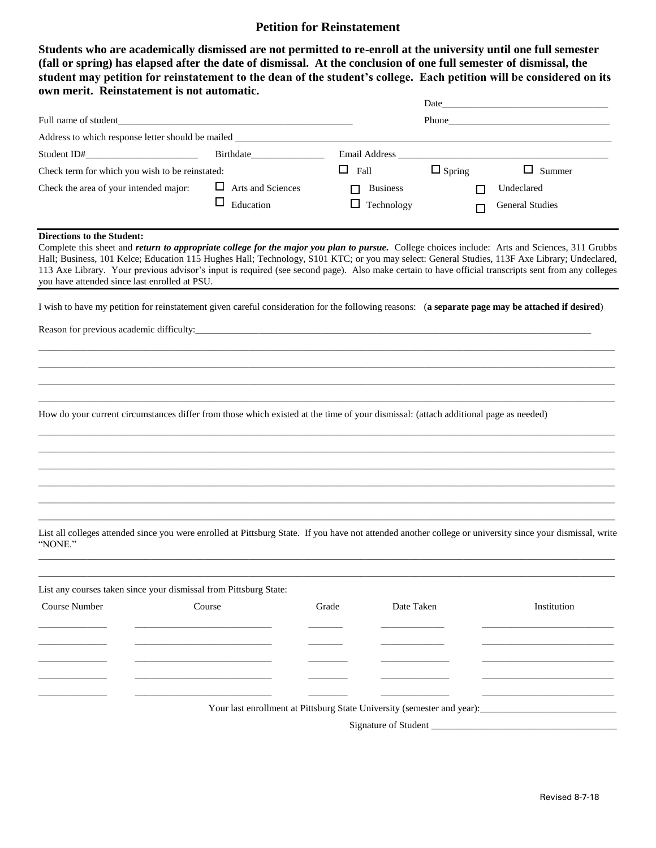## **Petition for Reinstatement**

**Students who are academically dismissed are not permitted to re-enroll at the university until one full semester (fall or spring) has elapsed after the date of dismissal. At the conclusion of one full semester of dismissal, the student may petition for reinstatement to the dean of the student's college. Each petition will be considered on its own merit. Reinstatement is not automatic.**

|                                                                                                                                                                                                                                                                                                                                                                                                                                                                                                                                              |                                            |             | Phone <b>Phone</b>            |               |                                                                      |  |  |
|----------------------------------------------------------------------------------------------------------------------------------------------------------------------------------------------------------------------------------------------------------------------------------------------------------------------------------------------------------------------------------------------------------------------------------------------------------------------------------------------------------------------------------------------|--------------------------------------------|-------------|-------------------------------|---------------|----------------------------------------------------------------------|--|--|
|                                                                                                                                                                                                                                                                                                                                                                                                                                                                                                                                              |                                            |             |                               |               |                                                                      |  |  |
|                                                                                                                                                                                                                                                                                                                                                                                                                                                                                                                                              |                                            |             |                               |               | Email Address <b>Email</b> Address <b>Email</b> Address <b>Email</b> |  |  |
| Check term for which you wish to be reinstated:                                                                                                                                                                                                                                                                                                                                                                                                                                                                                              |                                            | $\Box$ Fall |                               | $\Box$ Spring | $\Box$ Summer                                                        |  |  |
| Check the area of your intended major:                                                                                                                                                                                                                                                                                                                                                                                                                                                                                                       | $\Box$ Arts and Sciences<br>□<br>Education | П<br>□      | <b>Business</b><br>Technology | П<br>П        | Undeclared<br><b>General Studies</b>                                 |  |  |
| <b>Directions to the Student:</b><br>Complete this sheet and return to appropriate college for the major you plan to pursue. College choices include: Arts and Sciences, 311 Grubbs<br>Hall; Business, 101 Kelce; Education 115 Hughes Hall; Technology, S101 KTC; or you may select: General Studies, 113F Axe Library; Undeclared,<br>113 Axe Library. Your previous advisor's input is required (see second page). Also make certain to have official transcripts sent from any colleges<br>you have attended since last enrolled at PSU. |                                            |             |                               |               |                                                                      |  |  |
| I wish to have my petition for reinstatement given careful consideration for the following reasons: (a separate page may be attached if desired)                                                                                                                                                                                                                                                                                                                                                                                             |                                            |             |                               |               |                                                                      |  |  |
|                                                                                                                                                                                                                                                                                                                                                                                                                                                                                                                                              |                                            |             |                               |               |                                                                      |  |  |
|                                                                                                                                                                                                                                                                                                                                                                                                                                                                                                                                              |                                            |             |                               |               |                                                                      |  |  |
|                                                                                                                                                                                                                                                                                                                                                                                                                                                                                                                                              |                                            |             |                               |               |                                                                      |  |  |
|                                                                                                                                                                                                                                                                                                                                                                                                                                                                                                                                              |                                            |             |                               |               |                                                                      |  |  |
| How do your current circumstances differ from those which existed at the time of your dismissal: (attach additional page as needed)                                                                                                                                                                                                                                                                                                                                                                                                          |                                            |             |                               |               |                                                                      |  |  |
|                                                                                                                                                                                                                                                                                                                                                                                                                                                                                                                                              |                                            |             |                               |               |                                                                      |  |  |
|                                                                                                                                                                                                                                                                                                                                                                                                                                                                                                                                              |                                            |             |                               |               |                                                                      |  |  |
|                                                                                                                                                                                                                                                                                                                                                                                                                                                                                                                                              |                                            |             |                               |               |                                                                      |  |  |
|                                                                                                                                                                                                                                                                                                                                                                                                                                                                                                                                              |                                            |             |                               |               |                                                                      |  |  |
| List all colleges attended since you were enrolled at Pittsburg State. If you have not attended another college or university since your dismissal, write<br>"NONE."                                                                                                                                                                                                                                                                                                                                                                         |                                            |             |                               |               |                                                                      |  |  |
|                                                                                                                                                                                                                                                                                                                                                                                                                                                                                                                                              |                                            |             |                               |               |                                                                      |  |  |
| List any courses taken since your dismissal from Pittsburg State:                                                                                                                                                                                                                                                                                                                                                                                                                                                                            |                                            |             |                               |               |                                                                      |  |  |
| Course Number                                                                                                                                                                                                                                                                                                                                                                                                                                                                                                                                | Course                                     | Grade       | Date Taken                    |               | Institution                                                          |  |  |
|                                                                                                                                                                                                                                                                                                                                                                                                                                                                                                                                              |                                            |             |                               |               |                                                                      |  |  |
|                                                                                                                                                                                                                                                                                                                                                                                                                                                                                                                                              |                                            |             |                               |               |                                                                      |  |  |
|                                                                                                                                                                                                                                                                                                                                                                                                                                                                                                                                              |                                            |             |                               |               |                                                                      |  |  |
|                                                                                                                                                                                                                                                                                                                                                                                                                                                                                                                                              |                                            |             |                               |               |                                                                      |  |  |
|                                                                                                                                                                                                                                                                                                                                                                                                                                                                                                                                              |                                            |             |                               |               |                                                                      |  |  |
|                                                                                                                                                                                                                                                                                                                                                                                                                                                                                                                                              |                                            |             |                               |               |                                                                      |  |  |